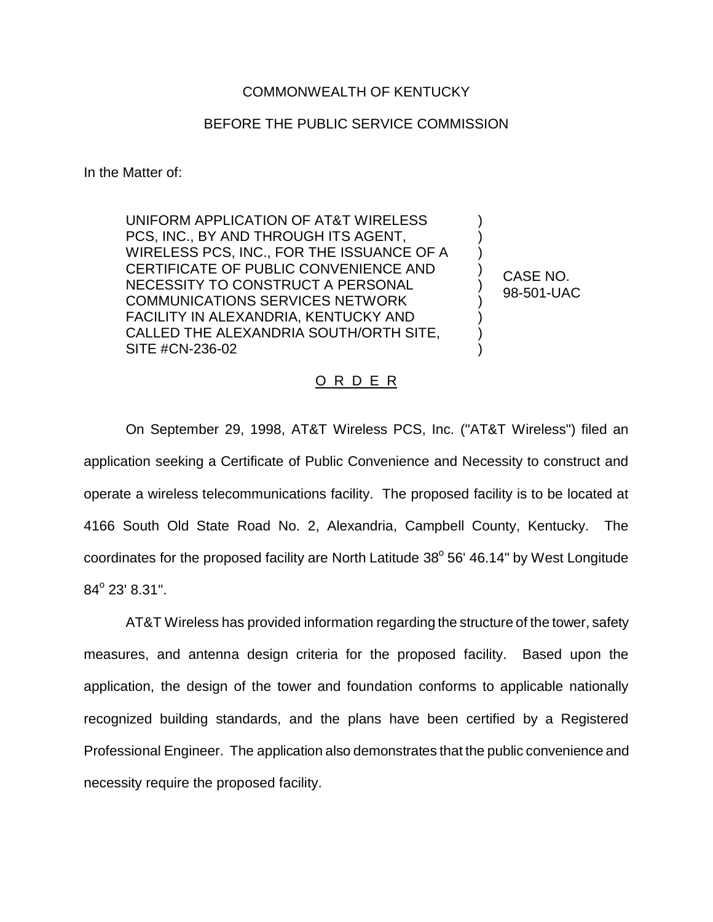## COMMONWEALTH OF KENTUCKY

## BEFORE THE PUBLIC SERVICE COMMISSION

In the Matter of:

UNIFORM APPLICATION OF AT&T WIRELESS PCS, INC., BY AND THROUGH ITS AGENT, WIRELESS PCS, INC., FOR THE ISSUANCE OF A CERTIFICATE OF PUBLIC CONVENIENCE AND NECESSITY TO CONSTRUCT A PERSONAL COMMUNICATIONS SERVICES NETWORK FACILITY IN ALEXANDRIA, KENTUCKY AND CALLED THE ALEXANDRIA SOUTH/ORTH SITE, SITE #CN-236-02

CASE NO. 98-501-UAC

) ) ) ) ) ) ) ) )

## O R D E R

On September 29, 1998, AT&T Wireless PCS, Inc. ("AT&T Wireless") filed an application seeking a Certificate of Public Convenience and Necessity to construct and operate a wireless telecommunications facility. The proposed facility is to be located at 4166 South Old State Road No. 2, Alexandria, Campbell County, Kentucky. The coordinates for the proposed facility are North Latitude  $38^{\circ}$  56' 46.14" by West Longitude  $84^{\circ}$  23'  $8.31$ ".

AT&T Wireless has provided information regarding the structure of the tower, safety measures, and antenna design criteria for the proposed facility. Based upon the application, the design of the tower and foundation conforms to applicable nationally recognized building standards, and the plans have been certified by a Registered Professional Engineer. The application also demonstrates that the public convenience and necessity require the proposed facility.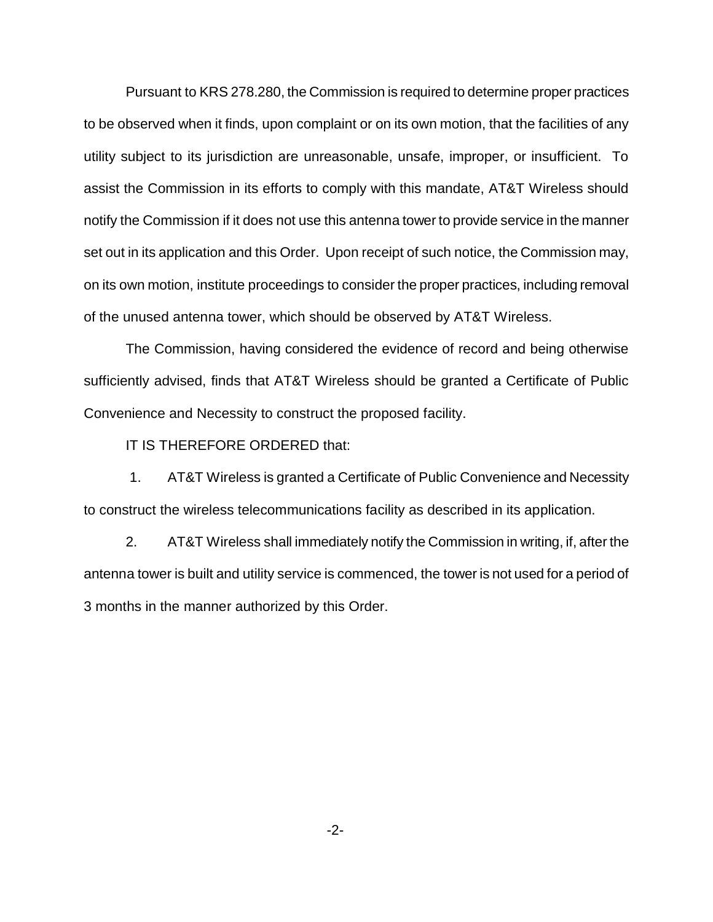Pursuant to KRS 278.280, the Commission is required to determine proper practices to be observed when it finds, upon complaint or on its own motion, that the facilities of any utility subject to its jurisdiction are unreasonable, unsafe, improper, or insufficient. To assist the Commission in its efforts to comply with this mandate, AT&T Wireless should notify the Commission if it does not use this antenna tower to provide service in the manner set out in its application and this Order. Upon receipt of such notice, the Commission may, on its own motion, institute proceedings to consider the proper practices, including removal of the unused antenna tower, which should be observed by AT&T Wireless.

The Commission, having considered the evidence of record and being otherwise sufficiently advised, finds that AT&T Wireless should be granted a Certificate of Public Convenience and Necessity to construct the proposed facility.

IT IS THEREFORE ORDERED that:

1. AT&T Wireless is granted a Certificate of Public Convenience and Necessity to construct the wireless telecommunications facility as described in its application.

2. AT&T Wireless shall immediately notify the Commission in writing, if, after the antenna tower is built and utility service is commenced, the tower is not used for a period of 3 months in the manner authorized by this Order.

-2-